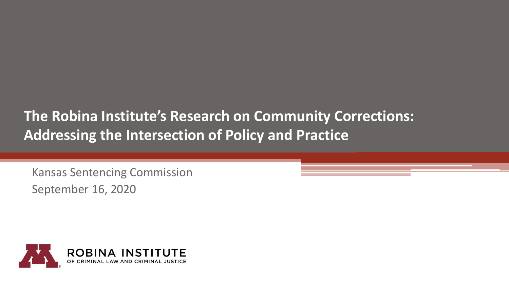#### **The Robina Institute's Research on Community Corrections: Addressing the Intersection of Policy and Practice**

Kansas Sentencing Commission September 16, 2020

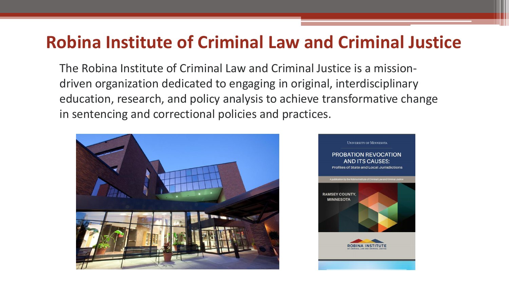#### **Robina Institute of Criminal Law and Criminal Justice**

The Robina Institute of Criminal Law and Criminal Justice is a missiondriven organization dedicated to engaging in original, interdisciplinary education, research, and policy analysis to achieve transformative change in sentencing and correctional policies and practices.



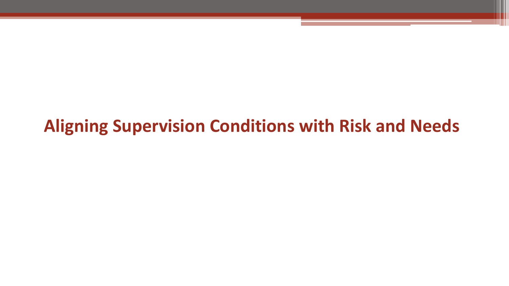## **Aligning Supervision Conditions with Risk and Needs**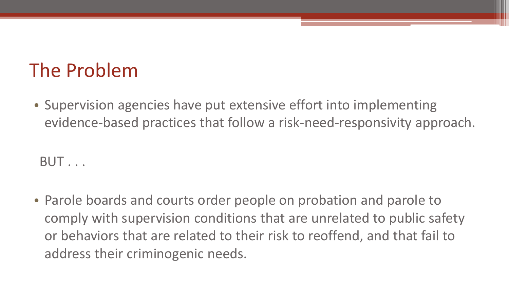# The Problem

• Supervision agencies have put extensive effort into implementing evidence-based practices that follow a risk-need-responsivity approach.

BUT . . .

• Parole boards and courts order people on probation and parole to comply with supervision conditions that are unrelated to public safety or behaviors that are related to their risk to reoffend, and that fail to address their criminogenic needs.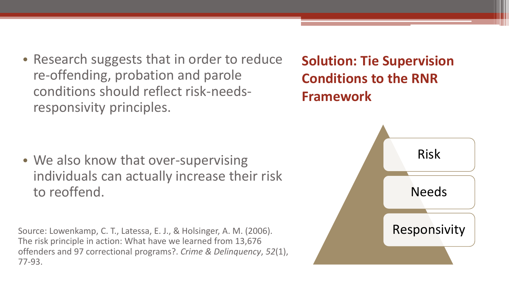- Research suggests that in order to reduce re-offending, probation and parole conditions should reflect risk-needsresponsivity principles.
- **Solution: Tie Supervision Conditions to the RNR Framework**

• We also know that over-supervising individuals can actually increase their risk to reoffend.

Source: Lowenkamp, C. T., Latessa, E. J., & Holsinger, A. M. (2006). The risk principle in action: What have we learned from 13,676 offenders and 97 correctional programs?. *Crime & Delinquency*, *52*(1), 77-93.

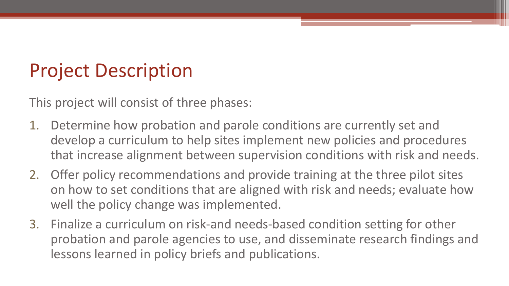# Project Description

This project will consist of three phases:

- 1. Determine how probation and parole conditions are currently set and develop a curriculum to help sites implement new policies and procedures that increase alignment between supervision conditions with risk and needs.
- 2. Offer policy recommendations and provide training at the three pilot sites on how to set conditions that are aligned with risk and needs; evaluate how well the policy change was implemented.
- 3. Finalize a curriculum on risk-and needs-based condition setting for other probation and parole agencies to use, and disseminate research findings and lessons learned in policy briefs and publications.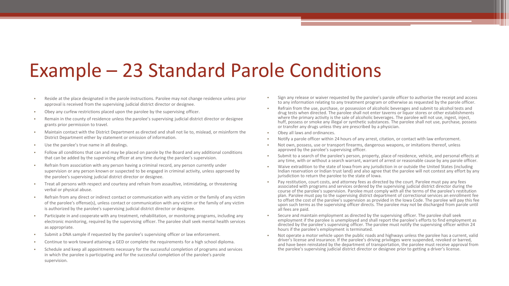# Example – 23 Standard Parole Conditions

- Reside at the place designated in the parole instructions. Parolee may not change residence unless prior approval is received from the supervising judicial district director or designee.
- Obey any curfew restrictions placed upon the parolee by the supervising officer.
- Remain in the county of residence unless the parolee's supervising judicial district director or designee grants prior permission to travel.
- Maintain contact with the District Department as directed and shall not lie to, mislead, or misinform the District Department either by statement or omission of information.
- Use the parolee's true name in all dealings.
- Follow all conditions that can and may be placed on parole by the Board and any additional conditions that can be added by the supervising officer at any time during the parolee's supervision.
- Refrain from association with any person having a criminal record, any person currently under supervision or any person known or suspected to be engaged in criminal activity, unless approved by the parolee's supervising judicial district director or designee.
- Treat all persons with respect and courtesy and refrain from assaultive, intimidating, or threatening verbal or physical abuse.
- Refrain from any direct or indirect contact or communication with any victim or the family of any victim of the parolee's offense(s), unless contact or communication with any victim or the family of any victim is authorized by the parolee's supervising judicial district director or designee.
- Participate in and cooperate with any treatment, rehabilitation, or monitoring programs, including any electronic monitoring, required by the supervising officer. The parolee shall seek mental health services as appropriate.
- Submit a DNA sample if requested by the parolee's supervising officer or law enforcement.
- Continue to work toward attaining a GED or complete the requirements for a high school diploma.
- Schedule and keep all appointments necessary for the successful completion of programs and services in which the parolee is participating and for the successful completion of the parolee's parole supervision.
- Sign any release or waiver requested by the parolee's parole officer to authorize the receipt and access to any information relating to any treatment program or otherwise as requested by the parole officer.
- Refrain from the use, purchase, or possession of alcoholic beverages and submit to alcohol tests and drug tests when directed. The parolee shall not enter taverns or liquor stores or other establishments where the primary activity is the sale of alcoholic beverages. The parolee will not use, ingest, inject, huff, possess or smoke any illegal or synthetic substances. The parolee shall not use, purchase, possess or transfer any drugs unless they are prescribed by a physician.
- Obey all laws and ordinances.
- Notify a parole officer within 24 hours of any arrest, citation, or contact with law enforcement.
- Not own, possess, use or transport firearms, dangerous weapons, or imitations thereof, unless approved by the parolee's supervising officer.
- Submit to a search of the parolee's person, property, place of residence, vehicle, and personal effects at any time, with or without a search warrant, warrant of arrest or reasonable cause by any parole officer.
- Waive extradition to the state of Iowa from any jurisdiction in or outside the United States (including Indian reservation or Indian trust land) and also agree that the parolee will not contest any effort by any jurisdiction to return the parolee to the state of Iowa.
- Pay restitution, court costs, and attorney fees as directed by the court. Parolee must pay any fees associated with programs and services ordered by the supervising judicial district director during the course of the parolee's supervision. Parolee must comply with all the terms of the parolee's restitution plan. Parolee must pay to the supervising district department of correctional services an enrollment fee to offset the cost of the parolee's supervision as provided in the Iowa Code. The parolee will pay this fee upon such terms as the supervising officer directs. The parolee may not be discharged from parole until all fees are paid.
- Secure and maintain employment as directed by the supervising officer. The parolee shall seek employment if the parolee is unemployed and shall report the parolee's efforts to find employment as directed by the parolee's supervising officer. The parolee must notify the supervising officer within 24 hours if the parolee's employment is terminated.
- Not operate a motor vehicle upon the public roads and highways unless the parolee has a current, valid driver's license and insurance. If the parolee's driving privileges were suspended, revoked or barred, and have been reinstated by the department of transportation, the parolee must receive approval from the parolee's supervising judicial district director or designee prior to getting a driver's license.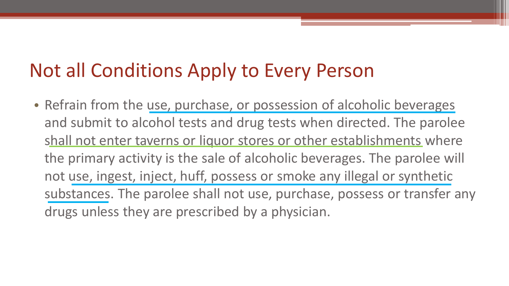# Not all Conditions Apply to Every Person

• Refrain from the use, purchase, or possession of alcoholic beverages and submit to alcohol tests and drug tests when directed. The parolee shall not enter taverns or liquor stores or other establishments where the primary activity is the sale of alcoholic beverages. The parolee will not use, ingest, inject, huff, possess or smoke any illegal or synthetic substances. The parolee shall not use, purchase, possess or transfer any drugs unless they are prescribed by a physician.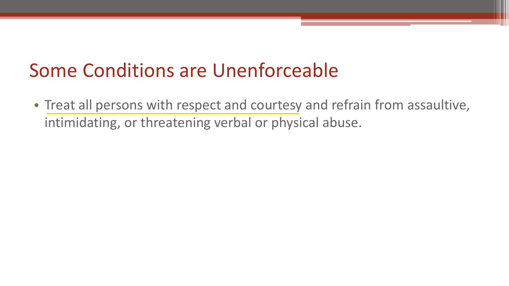# Some Conditions are Unenforceable

• Treat all persons with respect and courtesy and refrain from assaultive, intimidating, or threatening verbal or physical abuse.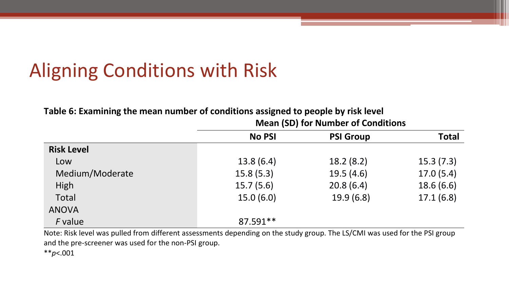# Aligning Conditions with Risk

**Table 6: Examining the mean number of conditions assigned to people by risk level**

|                   | <b>No PSI</b> | <b>PSI Group</b> | <b>Total</b> |  |
|-------------------|---------------|------------------|--------------|--|
| <b>Risk Level</b> |               |                  |              |  |
| Low               | 13.8(6.4)     | 18.2(8.2)        | 15.3(7.3)    |  |
| Medium/Moderate   | 15.8(5.3)     | 19.5(4.6)        | 17.0(5.4)    |  |
| High              | 15.7(5.6)     | 20.8(6.4)        | 18.6(6.6)    |  |
| Total             | 15.0(6.0)     | 19.9(6.8)        | 17.1(6.8)    |  |
| <b>ANOVA</b>      |               |                  |              |  |
| F value           | 87.591**      |                  |              |  |

**Mean (SD) for Number of Conditions**

Note: Risk level was pulled from different assessments depending on the study group. The LS/CMI was used for the PSI group and the pre-screener was used for the non-PSI group.

\*\**p*<.001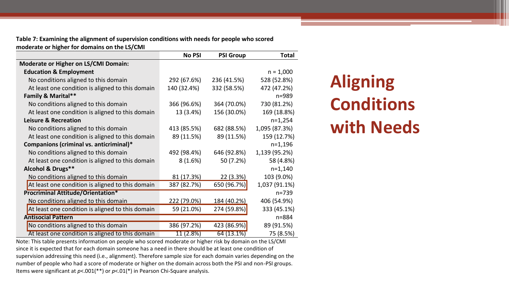**Table 7: Examining the alignment of supervision conditions with needs for people who scored moderate or higher for domains on the LS/CMI**

|                                                  | <b>No PSI</b> | <b>PSI Group</b> | <b>Total</b>  |
|--------------------------------------------------|---------------|------------------|---------------|
| <b>Moderate or Higher on LS/CMI Domain:</b>      |               |                  |               |
| <b>Education &amp; Employment</b>                |               |                  | $n = 1,000$   |
| No conditions aligned to this domain             | 292 (67.6%)   | 236 (41.5%)      | 528 (52.8%)   |
| At least one condition is aligned to this domain | 140 (32.4%)   | 332 (58.5%)      | 472 (47.2%)   |
| <b>Family &amp; Marital**</b>                    |               |                  | $n = 989$     |
| No conditions aligned to this domain             | 366 (96.6%)   | 364 (70.0%)      | 730 (81.2%)   |
| At least one condition is aligned to this domain | 13 (3.4%)     | 156 (30.0%)      | 169 (18.8%)   |
| <b>Leisure &amp; Recreation</b>                  |               |                  | $n=1,254$     |
| No conditions aligned to this domain             | 413 (85.5%)   | 682 (88.5%)      | 1,095 (87.3%) |
| At least one condition is aligned to this domain | 89 (11.5%)    | 89 (11.5%)       | 159 (12.7%)   |
| Companions (criminal vs. anticriminal)*          |               |                  | $n=1,196$     |
| No conditions aligned to this domain             | 492 (98.4%)   | 646 (92.8%)      | 1,139 (95.2%) |
| At least one condition is aligned to this domain | 8(1.6%)       | 50 (7.2%)        | 58 (4.8%)     |
| Alcohol & Drugs**                                |               |                  | $n=1,140$     |
| No conditions aligned to this domain             | 81 (17.3%)    | 22 (3.3%)        | 103 (9.0%)    |
| At least one condition is aligned to this domain | 387 (82.7%)   | 650 (96.7%)      | 1,037 (91.1%) |
| <b>Procriminal Attitude/Orientation*</b>         |               |                  | $n = 739$     |
| No conditions aligned to this domain             | 222 (79.0%)   | 184 (40.2%)      | 406 (54.9%)   |
| At least one condition is aligned to this domain | 59 (21.0%)    | 274 (59.8%)      | 333 (45.1%)   |
| <b>Antisocial Pattern</b>                        |               |                  | n=884         |
| No conditions aligned to this domain             | 386 (97.2%)   | 423 (86.9%)      | 89 (91.5%)    |
| At least one condition is aligned to this domain | 11 (2.8%)     | 64 (13.1%)       | 75 (8.5%)     |

**Aligning Conditions with Needs**

Note: This table presents information on people who scored moderate or higher risk by domain on the LS/CMI since it is expected that for each domain someone has a need in there should be at least one condition of supervision addressing this need (i.e., alignment). Therefore sample size for each domain varies depending on the number of people who had a score of moderate or higher on the domain across both the PSI and non-PSI groups. Items were significant at *p*<.001(\*\*) or *p*<.01(\*) in Pearson Chi-Square analysis.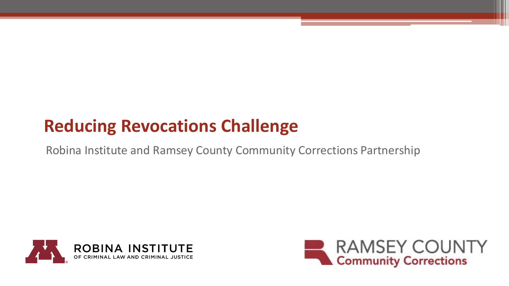## **Reducing Revocations Challenge**

Robina Institute and Ramsey County Community Corrections Partnership



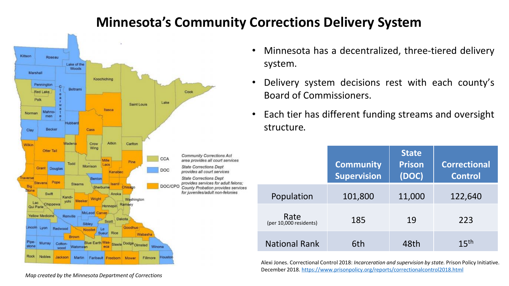#### **Minnesota's Community Corrections Delivery System**



- Minnesota has a decentralized, three-tiered delivery system.
- Delivery system decisions rest with each county's Board of Commissioners.
- Each tier has different funding streams and oversight structure.

|  |                                | <b>Community</b><br><b>Supervision</b> | <b>State</b><br><b>Prison</b><br>(DOC) | <b>Correctional</b><br><b>Control</b> |
|--|--------------------------------|----------------------------------------|----------------------------------------|---------------------------------------|
|  | Population                     | 101,800                                | 11,000                                 | 122,640                               |
|  | Rate<br>(per 10,000 residents) | 185                                    | 19                                     | 223                                   |
|  | <b>National Rank</b>           | 6th                                    | 48th                                   | 15 <sup>th</sup>                      |

Alexi Jones. Correctional Control 2018: *Incarceration and supervision by state.* Prison Policy Initiative. December 2018. <https://www.prisonpolicy.org/reports/correctionalcontrol2018.html>

*Map created by the Minnesota Department of Corrections*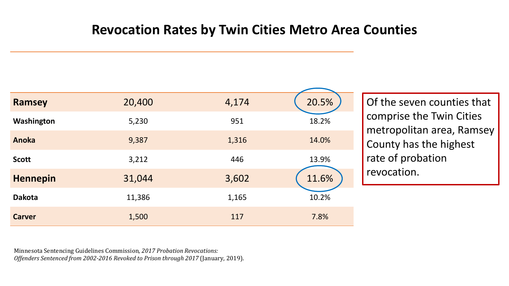#### **Revocation Rates by Twin Cities Metro Area Counties**

| <b>Ramsey</b>   | 20,400 | 4,174 | 20.5% |
|-----------------|--------|-------|-------|
| Washington      | 5,230  | 951   | 18.2% |
| Anoka           | 9,387  | 1,316 | 14.0% |
| <b>Scott</b>    | 3,212  | 446   | 13.9% |
| <b>Hennepin</b> | 31,044 | 3,602 | 11.6% |
| <b>Dakota</b>   | 11,386 | 1,165 | 10.2% |
| <b>Carver</b>   | 1,500  | 117   | 7.8%  |

Of the seven counties that comprise the Twin Cities metropolitan area, Ramsey County has the highest rate of probation revocation.

Minnesota Sentencing Guidelines Commission*, 2017 Probation Revocations: Offenders Sentenced from 2002-2016 Revoked to Prison through 2017* (January, 2019).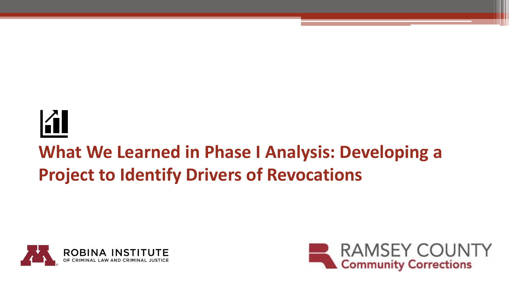# A

# **What We Learned in Phase I Analysis: Developing a Project to Identify Drivers of Revocations**



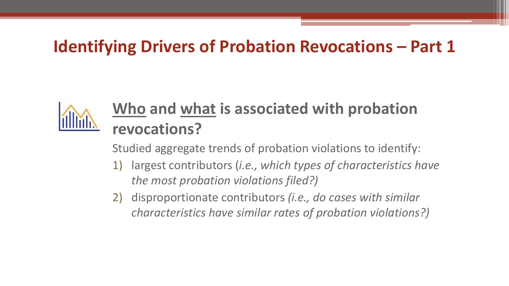#### **Identifying Drivers of Probation Revocations – Part 1**



## **Who and what is associated with probation revocations?**

Studied aggregate trends of probation violations to identify:

- 1) largest contributors (*i.e., which types of characteristics have the most probation violations filed?)*
- 2) disproportionate contributors *(i.e., do cases with similar characteristics have similar rates of probation violations?)*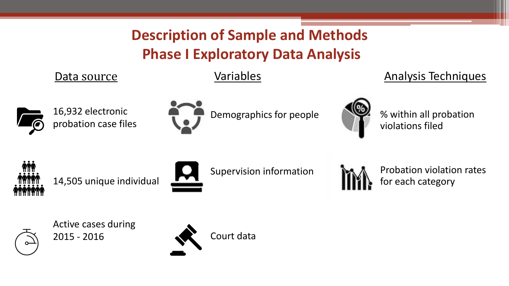#### **Description of Sample and Methods Phase I Exploratory Data Analysis**

Data source **Variables** Variables Analysis Techniques

16,932 electronic

probation case files



% within all probation violations filed



14,505 unique individual



Supervision information

Demographics for people



Probation violation rates for each category



Active cases during 2015 - 2016



Court data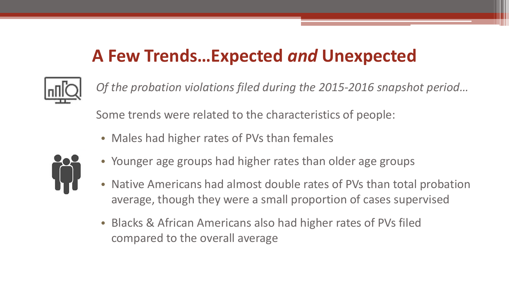## **A Few Trends…Expected** *and* **Unexpected**



*Of the probation violations filed during the 2015-2016 snapshot period…* Some trends were related to the characteristics of people:

• Males had higher rates of PVs than females



- Younger age groups had higher rates than older age groups
- Native Americans had almost double rates of PVs than total probation average, though they were a small proportion of cases supervised
- Blacks & African Americans also had higher rates of PVs filed compared to the overall average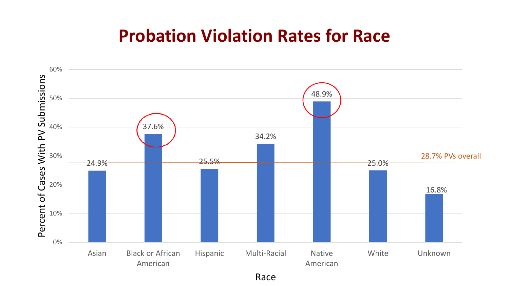#### **Probation Violation Rates for Race**



Race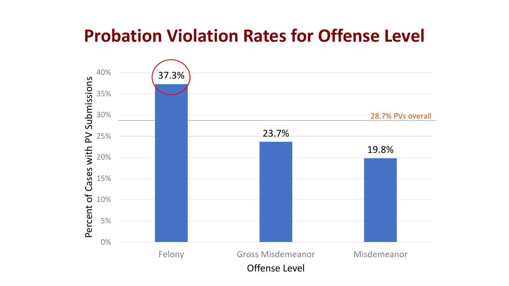## **Probation Violation Rates for Offense Level**

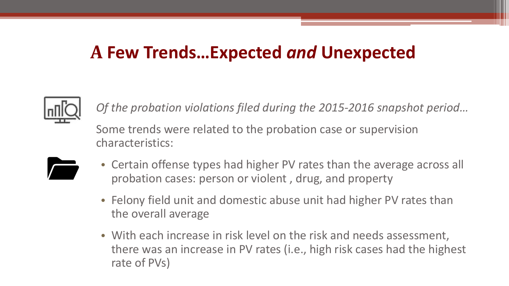#### **A Few Trends…Expected** *and* **Unexpected**



*Of the probation violations filed during the 2015-2016 snapshot period…*

Some trends were related to the probation case or supervision characteristics:



- Certain offense types had higher PV rates than the average across all probation cases: person or violent , drug, and property
- Felony field unit and domestic abuse unit had higher PV rates than the overall average
- With each increase in risk level on the risk and needs assessment, there was an increase in PV rates (i.e., high risk cases had the highest rate of PVs)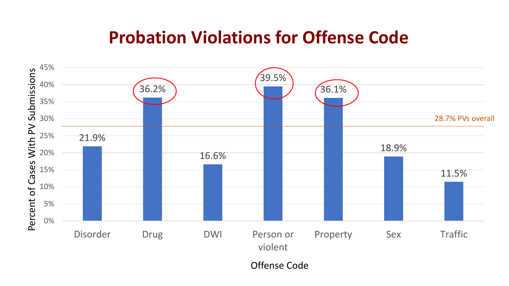#### **Probation Violations for Offense Code**



Offense Code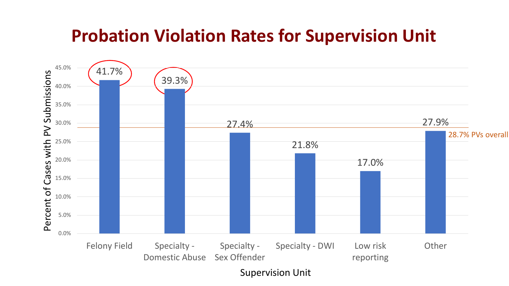## **Probation Violation Rates for Supervision Unit**



Supervision Unit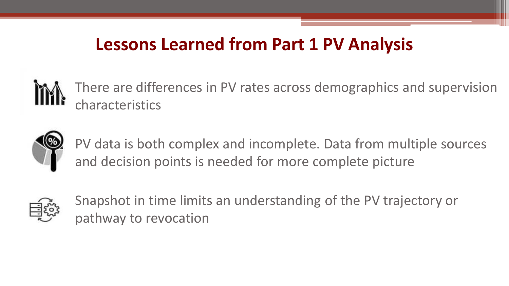#### **Lessons Learned from Part 1 PV Analysis**

There are differences in PV rates across demographics and supervision characteristics



PV data is both complex and incomplete. Data from multiple sources and decision points is needed for more complete picture



Snapshot in time limits an understanding of the PV trajectory or pathway to revocation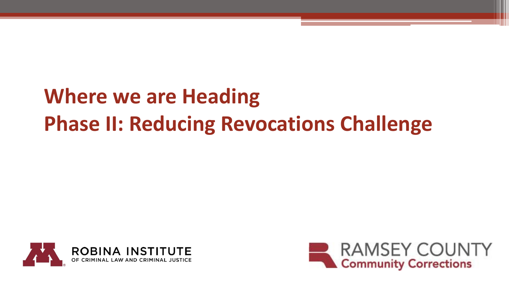# **Where we are Heading Phase II: Reducing Revocations Challenge**



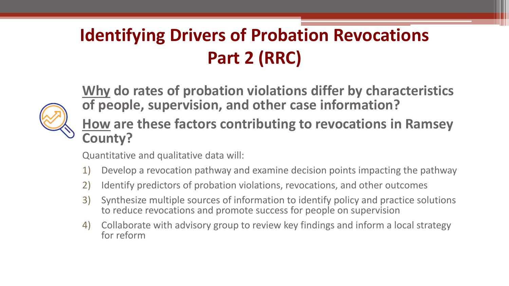# **Identifying Drivers of Probation Revocations Part 2 (RRC)**



**Why do rates of probation violations differ by characteristics of people, supervision, and other case information?**

**How are these factors contributing to revocations in Ramsey County?**

Quantitative and qualitative data will:

- 1) Develop a revocation pathway and examine decision points impacting the pathway
- 2) Identify predictors of probation violations, revocations, and other outcomes
- 3) Synthesize multiple sources of information to identify policy and practice solutions to reduce revocations and promote success for people on supervision
- 4) Collaborate with advisory group to review key findings and inform a local strategy for reform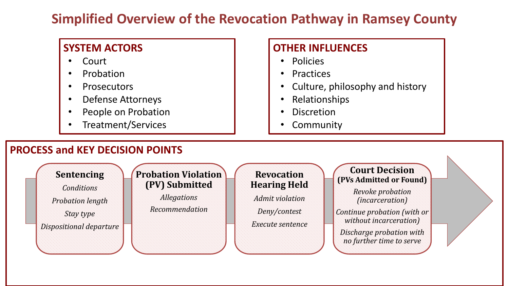#### **Simplified Overview of the Revocation Pathway in Ramsey County**

#### **SYSTEM ACTORS**

- **Court**
- **Probation**
- **Prosecutors**
- Defense Attorneys
- People on Probation
- Treatment/Services

#### **OTHER INFLUENCES**

- Policies
- Practices
- Culture, philosophy and history
- Relationships
- **Discretion**
- Community

#### **PROCESS and KEY DECISION POINTS**

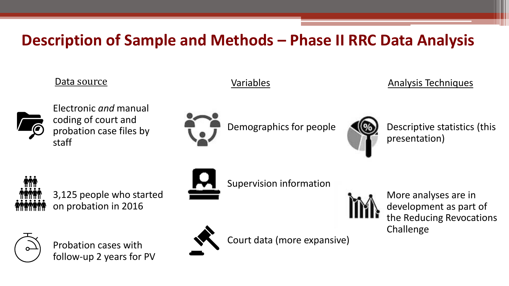#### **Description of Sample and Methods – Phase II RRC Data Analysis**

#### Data source **Variables** Variables **Variables** Analysis Techniques



Electronic *and* manual coding of court and probation case files by staff



Demographics for people



Descriptive statistics (this presentation)



3,125 people who started on probation in 2016



Probation cases with follow-up 2 years for PV



Supervision information



More analyses are in development as part of the Reducing Revocations Challenge



Court data (more expansive)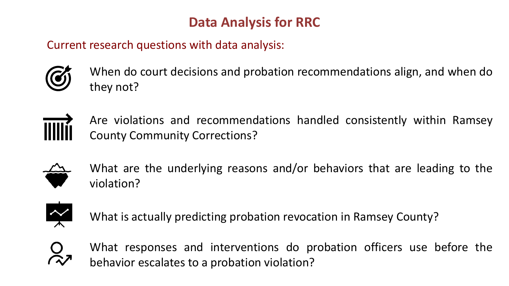#### **Data Analysis for RRC**

Current research questions with data analysis:



When do court decisions and probation recommendations align, and when do they not?



Are violations and recommendations handled consistently within Ramsey County Community Corrections?



What are the underlying reasons and/or behaviors that are leading to the violation?



What is actually predicting probation revocation in Ramsey County?



What responses and interventions do probation officers use before the behavior escalates to a probation violation?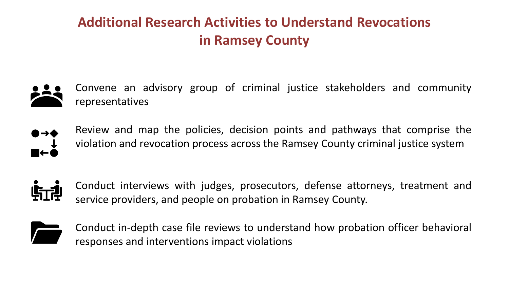#### **Additional Research Activities to Understand Revocations in Ramsey County**

Convene an advisory group of criminal justice stakeholders and community representatives



Review and map the policies, decision points and pathways that comprise the violation and revocation process across the Ramsey County criminal justice system



Conduct interviews with judges, prosecutors, defense attorneys, treatment and service providers, and people on probation in Ramsey County.



Conduct in-depth case file reviews to understand how probation officer behavioral responses and interventions impact violations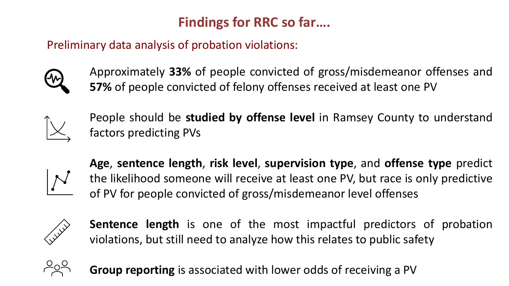#### **Findings for RRC so far….**

Preliminary data analysis of probation violations:



Approximately **33%** of people convicted of gross/misdemeanor offenses and **57%** of people convicted of felony offenses received at least one PV



People should be **studied by offense level** in Ramsey County to understand factors predicting PVs



**Age**, **sentence length**, **risk level**, **supervision type**, and **offense type** predict the likelihood someone will receive at least one PV, but race is only predictive of PV for people convicted of gross/misdemeanor level offenses



**Sentence length** is one of the most impactful predictors of probation violations, but still need to analyze how this relates to public safety



**Group reporting** is associated with lower odds of receiving a PV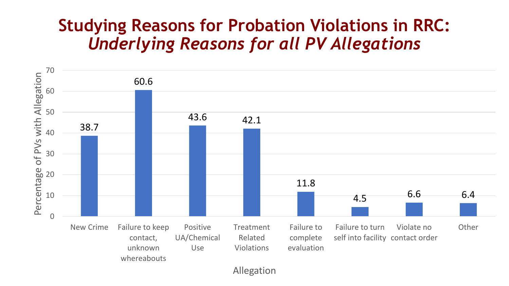#### **Studying Reasons for Probation Violations in RRC:**  *Underlying Reasons for all PV Allegations*



Allegation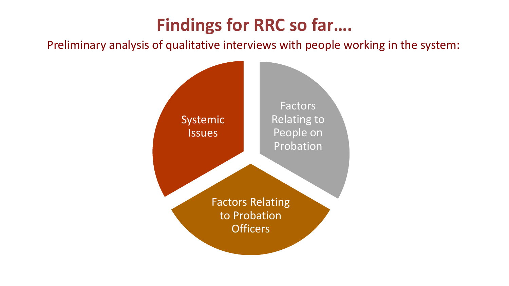## **Findings for RRC so far….**

Preliminary analysis of qualitative interviews with people working in the system: